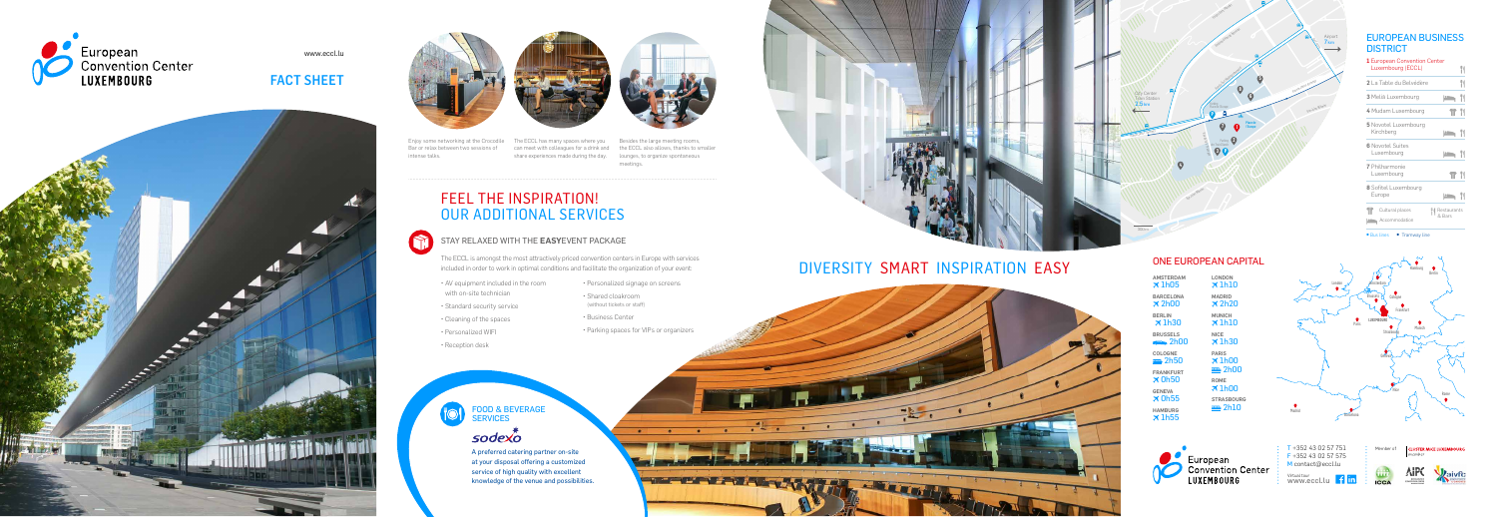

www.eccl.lu

# FACT SHEET









# FEEL THE INSPIRATION! OUR ADDITIONAL SERVICES



#### STAY RELAXED WITH THE **EASY**EVENT PACKAGE

The ECCL is amongst the most attractively priced convention centers in Europe with services included in order to work in optimal conditions and facilitate the organization of your event:

- AV equipment included in the room with on-site technician
- Standard security service
- Cleaning of the spaces
- Personalized WIFI
- Reception desk
- Personalized signage on screens
- Shared cloakroom (without tickets or staff)
- Business Center
- Parking spaces for VIPs or organizers

Enjoy some networking at the Crocodile The ECCL has many spaces where you Besides the large meeting rooms, intense talks.

Bar or relax between two sessions of can meet with colleagues for a drink and the ECCL also allows, thanks to smaller meetings.

#### EUROPEAN BUSINESS **DISTRICT**

share experiences made during the day. lounges, to organize spontaneous

## FOOD & BEVERAGE SERVICES

# sodexo

A preferred catering partner on-site at your disposal offering a customized service of high quality with excellent knowledge of the venue and possibilities.





T +352 43 02 57 751 F +352 43 02 57 575 M contact@eccl.lu

Parking Place de l'Europe **P**

Rue Jules Wilhelm

Rue Erasme

Airport<br><mark>7 km</mark>

Rue Jules Wilhelm

Val des Bons-Malades

Boulevard Konrad Adenauer

Rue du Fort Niedergruenewald

Rue du Fort Thüengen **3**

Avenue John F. Kennedy

Avenue John F. Kennedy

City Center<br>Train Station<br><mark>2.5 km</mark>

**7 1 2**

**6**

**5**

**8**

**4**

Parking des Trois Glands **P**

Place de l'Europe

300m

| <b>1</b> European Convention Center<br>Luxembourg (ECCL) |                       | Y( |
|----------------------------------------------------------|-----------------------|----|
| <b>2</b> La Table du Belvédère                           |                       | Y) |
| 3 Meliā Luxembourg                                       | Ŀ۱                    | Y١ |
| 4 Mudam Luxembourg                                       | T                     | Y١ |
| <b>5</b> Novotel Luxembourg<br>Kirchberg                 |                       |    |
| <b>6</b> Novotel Suites<br>Luxembourg                    | $\bullet$             |    |
| <b>7</b> Philharmonie<br>Luxembourg                      |                       | Y١ |
| <b>8</b> Sofitel Luxembourg<br>Europe                    |                       |    |
| Cultural places<br>$rac{1}{2}$<br>Accommodation          | Restaurants<br>& Bars |    |

● Bus lines ● Tramway line

Member of **CLUSTER MICE LUXEMBOURG** 







## ONE EUROPEAN CAPITAL

| <b>AMSTERDAM</b>                | LONDON            |
|---------------------------------|-------------------|
| $\times$ 1h05                   | $\times$ 1h10     |
| <b>BARCELONA</b>                | <b>MADRID</b>     |
| $\times$ 2h00                   | $\times$ 2h20     |
| <b>BERLIN</b>                   | <b>MUNICH</b>     |
| $\times$ 1h30                   | $\times$ 1h10     |
| <b>BRUSSELS</b>                 | <b>NICE</b>       |
| $\bullet$ 2h00                  | $\times$ 1h30     |
| COLOGNE                         | <b>PARIS</b>      |
| <b>≕</b> 2h50                   | $\times$ 1h00     |
| <b>FRANKFURT</b>                | <b>≕</b> 2h00     |
| $\times$ 0h50                   | <b>ROME</b>       |
| <b>GENEVA</b>                   | $\times$ 1 $h$ 00 |
| $\times$ 0h55                   | <b>STRASBOURG</b> |
| <b>HAMBURG</b><br>$\times$ 1h55 | $=$ 2h10          |





Virtual tour www.eccl.lu